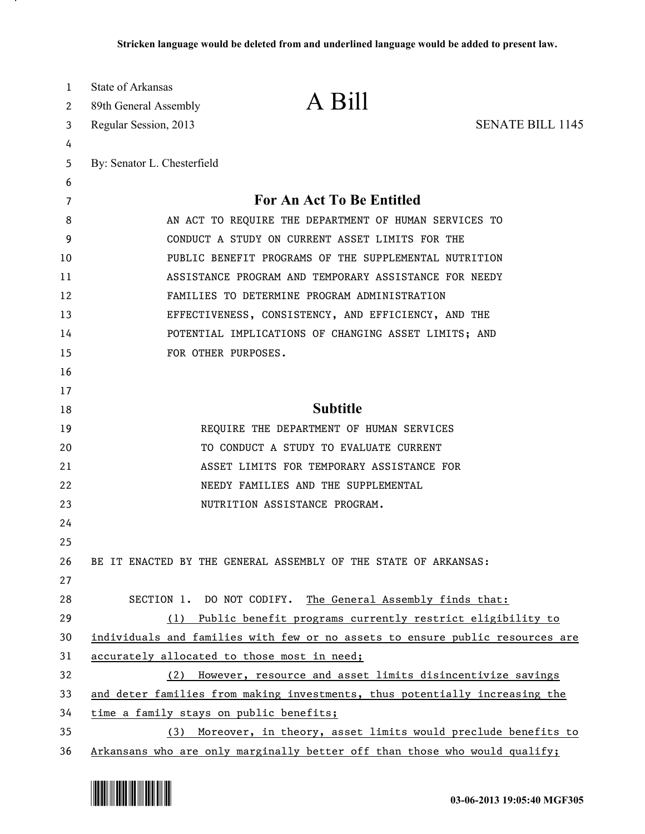| 1<br>2 | <b>State of Arkansas</b><br>89th General Assembly                           | A Bill                                                                        |                         |
|--------|-----------------------------------------------------------------------------|-------------------------------------------------------------------------------|-------------------------|
| 3      | Regular Session, 2013                                                       |                                                                               | <b>SENATE BILL 1145</b> |
| 4      |                                                                             |                                                                               |                         |
| 5      | By: Senator L. Chesterfield                                                 |                                                                               |                         |
| 6      |                                                                             |                                                                               |                         |
| 7      |                                                                             | For An Act To Be Entitled                                                     |                         |
| 8      | AN ACT TO REQUIRE THE DEPARTMENT OF HUMAN SERVICES TO                       |                                                                               |                         |
| 9      | CONDUCT A STUDY ON CURRENT ASSET LIMITS FOR THE                             |                                                                               |                         |
| 10     | PUBLIC BENEFIT PROGRAMS OF THE SUPPLEMENTAL NUTRITION                       |                                                                               |                         |
| 11     | ASSISTANCE PROGRAM AND TEMPORARY ASSISTANCE FOR NEEDY                       |                                                                               |                         |
| 12     | FAMILIES TO DETERMINE PROGRAM ADMINISTRATION                                |                                                                               |                         |
| 13     |                                                                             | EFFECTIVENESS, CONSISTENCY, AND EFFICIENCY, AND THE                           |                         |
| 14     |                                                                             | POTENTIAL IMPLICATIONS OF CHANGING ASSET LIMITS; AND                          |                         |
| 15     |                                                                             | FOR OTHER PURPOSES.                                                           |                         |
| 16     |                                                                             |                                                                               |                         |
| 17     |                                                                             |                                                                               |                         |
| 18     |                                                                             | <b>Subtitle</b>                                                               |                         |
| 19     |                                                                             | REQUIRE THE DEPARTMENT OF HUMAN SERVICES                                      |                         |
| 20     |                                                                             | TO CONDUCT A STUDY TO EVALUATE CURRENT                                        |                         |
| 21     |                                                                             | ASSET LIMITS FOR TEMPORARY ASSISTANCE FOR                                     |                         |
| 22     |                                                                             | NEEDY FAMILIES AND THE SUPPLEMENTAL                                           |                         |
| 23     |                                                                             | NUTRITION ASSISTANCE PROGRAM.                                                 |                         |
| 24     |                                                                             |                                                                               |                         |
| 25     |                                                                             |                                                                               |                         |
| 26     |                                                                             | BE IT ENACTED BY THE GENERAL ASSEMBLY OF THE STATE OF ARKANSAS:               |                         |
| 27     |                                                                             |                                                                               |                         |
| 28     |                                                                             | SECTION 1. DO NOT CODIFY. The General Assembly finds that:                    |                         |
| 29     |                                                                             | (1) Public benefit programs currently restrict eligibility to                 |                         |
| 30     |                                                                             | individuals and families with few or no assets to ensure public resources are |                         |
| 31     |                                                                             | accurately allocated to those most in need;                                   |                         |
| 32     | (2)                                                                         | However, resource and asset limits disincentivize savings                     |                         |
| 33     | and deter families from making investments, thus potentially increasing the |                                                                               |                         |
| 34     | time a family stays on public benefits;                                     |                                                                               |                         |
| 35     | (3)                                                                         | Moreover, in theory, asset limits would preclude benefits to                  |                         |
| 36     |                                                                             | Arkansans who are only marginally better off than those who would qualify;    |                         |